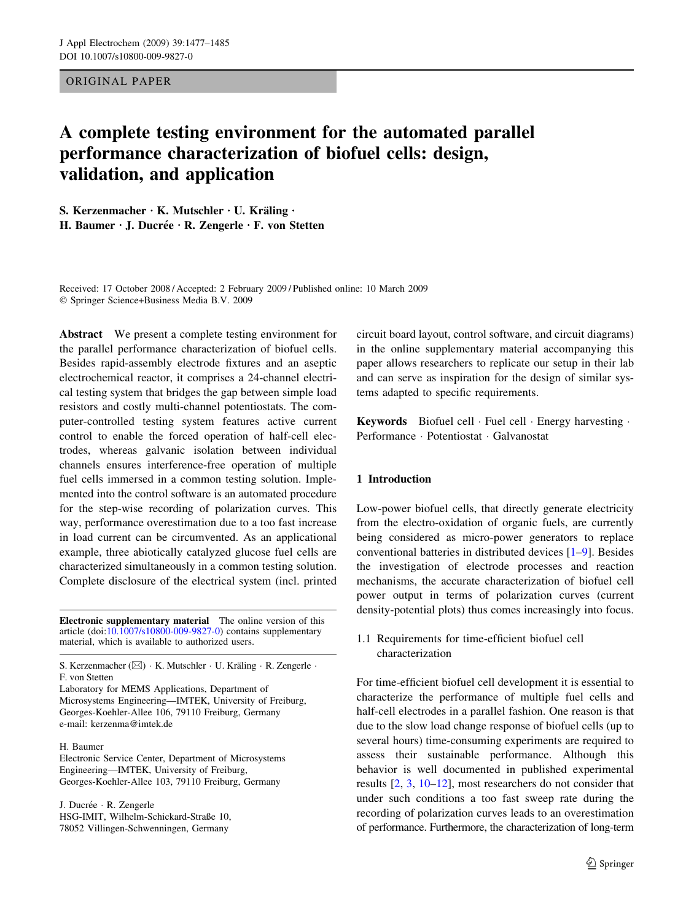## ORIGINAL PAPER

# A complete testing environment for the automated parallel performance characterization of biofuel cells: design, validation, and application

S. Kerzenmacher  $\cdot$  K. Mutschler  $\cdot$  U. Kräling  $\cdot$ H. Baumer  $\cdot$  J. Ducrée  $\cdot$  R. Zengerle  $\cdot$  F. von Stetten

Received: 17 October 2008 / Accepted: 2 February 2009 / Published online: 10 March 2009 Springer Science+Business Media B.V. 2009

Abstract We present a complete testing environment for the parallel performance characterization of biofuel cells. Besides rapid-assembly electrode fixtures and an aseptic electrochemical reactor, it comprises a 24-channel electrical testing system that bridges the gap between simple load resistors and costly multi-channel potentiostats. The computer-controlled testing system features active current control to enable the forced operation of half-cell electrodes, whereas galvanic isolation between individual channels ensures interference-free operation of multiple fuel cells immersed in a common testing solution. Implemented into the control software is an automated procedure for the step-wise recording of polarization curves. This way, performance overestimation due to a too fast increase in load current can be circumvented. As an applicational example, three abiotically catalyzed glucose fuel cells are characterized simultaneously in a common testing solution. Complete disclosure of the electrical system (incl. printed

Electronic supplementary material The online version of this article (doi:[10.1007/s10800-009-9827-0\)](http://dx.doi.org/10.1007/s10800-009-9827-0) contains supplementary material, which is available to authorized users.

S. Kerzenmacher ( $\boxtimes$ ) · K. Mutschler · U. Kräling · R. Zengerle · F. von Stetten

Laboratory for MEMS Applications, Department of Microsystems Engineering—IMTEK, University of Freiburg, Georges-Koehler-Allee 106, 79110 Freiburg, Germany e-mail: kerzenma@imtek.de

#### H. Baumer

Electronic Service Center, Department of Microsystems Engineering—IMTEK, University of Freiburg, Georges-Koehler-Allee 103, 79110 Freiburg, Germany

J. Ducrée · R. Zengerle HSG-IMIT, Wilhelm-Schickard-Straße 10, 78052 Villingen-Schwenningen, Germany

circuit board layout, control software, and circuit diagrams) in the online supplementary material accompanying this paper allows researchers to replicate our setup in their lab and can serve as inspiration for the design of similar systems adapted to specific requirements.

Keywords Biofuel cell  $\cdot$  Fuel cell  $\cdot$  Energy harvesting  $\cdot$ Performance · Potentiostat · Galvanostat

## 1 Introduction

Low-power biofuel cells, that directly generate electricity from the electro-oxidation of organic fuels, are currently being considered as micro-power generators to replace conventional batteries in distributed devices [[1–9\]](#page-8-0). Besides the investigation of electrode processes and reaction mechanisms, the accurate characterization of biofuel cell power output in terms of polarization curves (current density-potential plots) thus comes increasingly into focus.

1.1 Requirements for time-efficient biofuel cell characterization

For time-efficient biofuel cell development it is essential to characterize the performance of multiple fuel cells and half-cell electrodes in a parallel fashion. One reason is that due to the slow load change response of biofuel cells (up to several hours) time-consuming experiments are required to assess their sustainable performance. Although this behavior is well documented in published experimental results [[2,](#page-8-0) [3,](#page-8-0) [10–12](#page-8-0)], most researchers do not consider that under such conditions a too fast sweep rate during the recording of polarization curves leads to an overestimation of performance. Furthermore, the characterization of long-term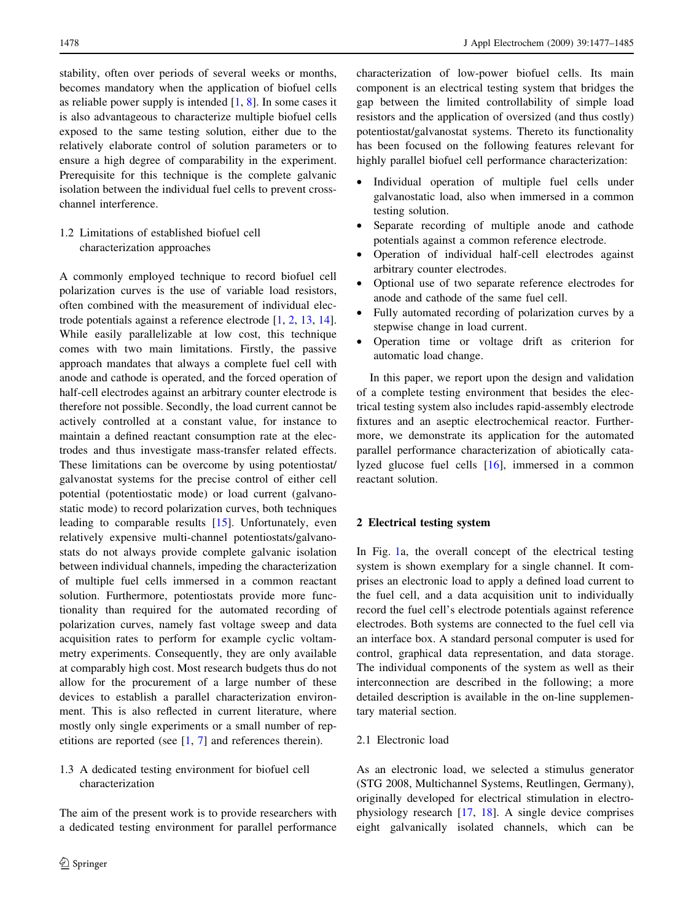stability, often over periods of several weeks or months, becomes mandatory when the application of biofuel cells as reliable power supply is intended  $[1, 8]$  $[1, 8]$  $[1, 8]$ . In some cases it is also advantageous to characterize multiple biofuel cells exposed to the same testing solution, either due to the relatively elaborate control of solution parameters or to ensure a high degree of comparability in the experiment. Prerequisite for this technique is the complete galvanic isolation between the individual fuel cells to prevent crosschannel interference.

1.2 Limitations of established biofuel cell characterization approaches

A commonly employed technique to record biofuel cell polarization curves is the use of variable load resistors, often combined with the measurement of individual electrode potentials against a reference electrode [[1,](#page-8-0) [2,](#page-8-0) [13](#page-8-0), [14](#page-8-0)]. While easily parallelizable at low cost, this technique comes with two main limitations. Firstly, the passive approach mandates that always a complete fuel cell with anode and cathode is operated, and the forced operation of half-cell electrodes against an arbitrary counter electrode is therefore not possible. Secondly, the load current cannot be actively controlled at a constant value, for instance to maintain a defined reactant consumption rate at the electrodes and thus investigate mass-transfer related effects. These limitations can be overcome by using potentiostat/ galvanostat systems for the precise control of either cell potential (potentiostatic mode) or load current (galvanostatic mode) to record polarization curves, both techniques leading to comparable results [\[15](#page-8-0)]. Unfortunately, even relatively expensive multi-channel potentiostats/galvanostats do not always provide complete galvanic isolation between individual channels, impeding the characterization of multiple fuel cells immersed in a common reactant solution. Furthermore, potentiostats provide more functionality than required for the automated recording of polarization curves, namely fast voltage sweep and data acquisition rates to perform for example cyclic voltammetry experiments. Consequently, they are only available at comparably high cost. Most research budgets thus do not allow for the procurement of a large number of these devices to establish a parallel characterization environment. This is also reflected in current literature, where mostly only single experiments or a small number of repetitions are reported (see [[1,](#page-8-0) [7\]](#page-8-0) and references therein).

# 1.3 A dedicated testing environment for biofuel cell characterization

The aim of the present work is to provide researchers with a dedicated testing environment for parallel performance characterization of low-power biofuel cells. Its main component is an electrical testing system that bridges the gap between the limited controllability of simple load resistors and the application of oversized (and thus costly) potentiostat/galvanostat systems. Thereto its functionality has been focused on the following features relevant for highly parallel biofuel cell performance characterization:

- Individual operation of multiple fuel cells under galvanostatic load, also when immersed in a common testing solution.
- Separate recording of multiple anode and cathode potentials against a common reference electrode.
- Operation of individual half-cell electrodes against arbitrary counter electrodes.
- Optional use of two separate reference electrodes for anode and cathode of the same fuel cell.
- Fully automated recording of polarization curves by a stepwise change in load current.
- Operation time or voltage drift as criterion for automatic load change.

In this paper, we report upon the design and validation of a complete testing environment that besides the electrical testing system also includes rapid-assembly electrode fixtures and an aseptic electrochemical reactor. Furthermore, we demonstrate its application for the automated parallel performance characterization of abiotically catalyzed glucose fuel cells [[16\]](#page-8-0), immersed in a common reactant solution.

# 2 Electrical testing system

In Fig. [1a](#page-2-0), the overall concept of the electrical testing system is shown exemplary for a single channel. It comprises an electronic load to apply a defined load current to the fuel cell, and a data acquisition unit to individually record the fuel cell's electrode potentials against reference electrodes. Both systems are connected to the fuel cell via an interface box. A standard personal computer is used for control, graphical data representation, and data storage. The individual components of the system as well as their interconnection are described in the following; a more detailed description is available in the on-line supplementary material section.

2.1 Electronic load

As an electronic load, we selected a stimulus generator (STG 2008, Multichannel Systems, Reutlingen, Germany), originally developed for electrical stimulation in electrophysiology research [\[17](#page-8-0), [18\]](#page-8-0). A single device comprises eight galvanically isolated channels, which can be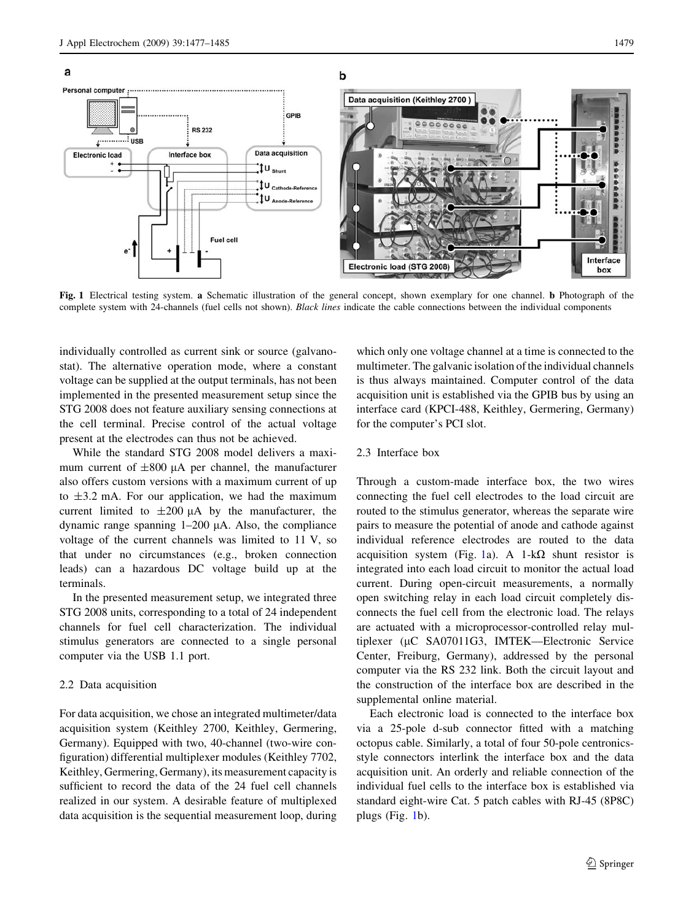<span id="page-2-0"></span>

Fig. 1 Electrical testing system. a Schematic illustration of the general concept, shown exemplary for one channel. b Photograph of the complete system with 24-channels (fuel cells not shown). Black lines indicate the cable connections between the individual components

individually controlled as current sink or source (galvanostat). The alternative operation mode, where a constant voltage can be supplied at the output terminals, has not been implemented in the presented measurement setup since the STG 2008 does not feature auxiliary sensing connections at the cell terminal. Precise control of the actual voltage present at the electrodes can thus not be achieved.

While the standard STG 2008 model delivers a maximum current of  $\pm 800 \mu A$  per channel, the manufacturer also offers custom versions with a maximum current of up to  $\pm$ 3.2 mA. For our application, we had the maximum current limited to  $\pm 200 \mu A$  by the manufacturer, the dynamic range spanning  $1-200 \mu A$ . Also, the compliance voltage of the current channels was limited to 11 V, so that under no circumstances (e.g., broken connection leads) can a hazardous DC voltage build up at the terminals.

In the presented measurement setup, we integrated three STG 2008 units, corresponding to a total of 24 independent channels for fuel cell characterization. The individual stimulus generators are connected to a single personal computer via the USB 1.1 port.

## 2.2 Data acquisition

For data acquisition, we chose an integrated multimeter/data acquisition system (Keithley 2700, Keithley, Germering, Germany). Equipped with two, 40-channel (two-wire configuration) differential multiplexer modules (Keithley 7702, Keithley, Germering, Germany), its measurement capacity is sufficient to record the data of the 24 fuel cell channels realized in our system. A desirable feature of multiplexed data acquisition is the sequential measurement loop, during which only one voltage channel at a time is connected to the multimeter. The galvanic isolation of the individual channels is thus always maintained. Computer control of the data acquisition unit is established via the GPIB bus by using an interface card (KPCI-488, Keithley, Germering, Germany) for the computer's PCI slot.

# 2.3 Interface box

Through a custom-made interface box, the two wires connecting the fuel cell electrodes to the load circuit are routed to the stimulus generator, whereas the separate wire pairs to measure the potential of anode and cathode against individual reference electrodes are routed to the data acquisition system (Fig. 1a). A 1-k $\Omega$  shunt resistor is integrated into each load circuit to monitor the actual load current. During open-circuit measurements, a normally open switching relay in each load circuit completely disconnects the fuel cell from the electronic load. The relays are actuated with a microprocessor-controlled relay multiplexer (µC SA07011G3, IMTEK—Electronic Service Center, Freiburg, Germany), addressed by the personal computer via the RS 232 link. Both the circuit layout and the construction of the interface box are described in the supplemental online material.

Each electronic load is connected to the interface box via a 25-pole d-sub connector fitted with a matching octopus cable. Similarly, a total of four 50-pole centronicsstyle connectors interlink the interface box and the data acquisition unit. An orderly and reliable connection of the individual fuel cells to the interface box is established via standard eight-wire Cat. 5 patch cables with RJ-45 (8P8C) plugs (Fig. 1b).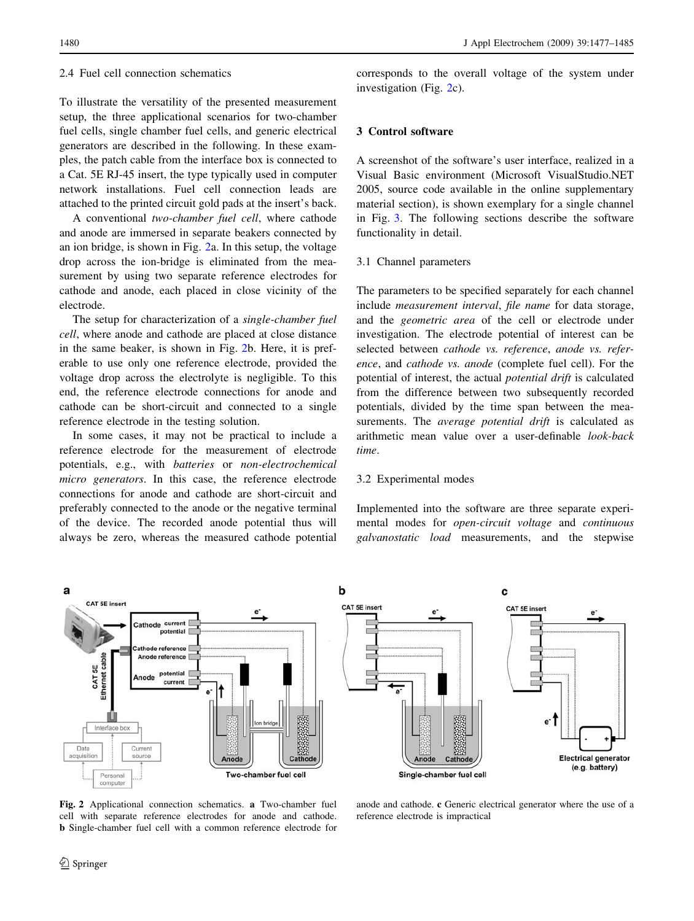#### <span id="page-3-0"></span>2.4 Fuel cell connection schematics

To illustrate the versatility of the presented measurement setup, the three applicational scenarios for two-chamber fuel cells, single chamber fuel cells, and generic electrical generators are described in the following. In these examples, the patch cable from the interface box is connected to a Cat. 5E RJ-45 insert, the type typically used in computer network installations. Fuel cell connection leads are attached to the printed circuit gold pads at the insert's back.

A conventional two-chamber fuel cell, where cathode and anode are immersed in separate beakers connected by an ion bridge, is shown in Fig. 2a. In this setup, the voltage drop across the ion-bridge is eliminated from the measurement by using two separate reference electrodes for cathode and anode, each placed in close vicinity of the electrode.

The setup for characterization of a single-chamber fuel cell, where anode and cathode are placed at close distance in the same beaker, is shown in Fig. 2b. Here, it is preferable to use only one reference electrode, provided the voltage drop across the electrolyte is negligible. To this end, the reference electrode connections for anode and cathode can be short-circuit and connected to a single reference electrode in the testing solution.

In some cases, it may not be practical to include a reference electrode for the measurement of electrode potentials, e.g., with batteries or non-electrochemical micro generators. In this case, the reference electrode connections for anode and cathode are short-circuit and preferably connected to the anode or the negative terminal of the device. The recorded anode potential thus will always be zero, whereas the measured cathode potential corresponds to the overall voltage of the system under investigation (Fig. 2c).

## 3 Control software

A screenshot of the software's user interface, realized in a Visual Basic environment (Microsoft VisualStudio.NET 2005, source code available in the online supplementary material section), is shown exemplary for a single channel in Fig. [3](#page-4-0). The following sections describe the software functionality in detail.

## 3.1 Channel parameters

The parameters to be specified separately for each channel include measurement interval, file name for data storage, and the geometric area of the cell or electrode under investigation. The electrode potential of interest can be selected between cathode vs. reference, anode vs. reference, and cathode vs. anode (complete fuel cell). For the potential of interest, the actual potential drift is calculated from the difference between two subsequently recorded potentials, divided by the time span between the measurements. The *average potential drift* is calculated as arithmetic mean value over a user-definable look-back time.

#### 3.2 Experimental modes

Implemented into the software are three separate experimental modes for open-circuit voltage and continuous galvanostatic load measurements, and the stepwise



Fig. 2 Applicational connection schematics. a Two-chamber fuel cell with separate reference electrodes for anode and cathode. b Single-chamber fuel cell with a common reference electrode for

anode and cathode. c Generic electrical generator where the use of a reference electrode is impractical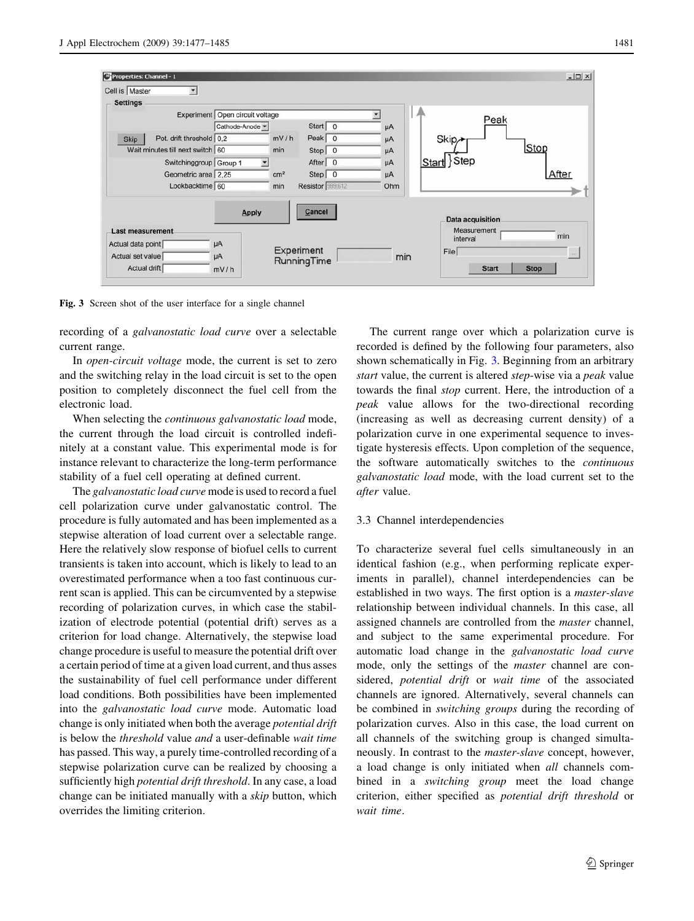<span id="page-4-0"></span>

Fig. 3 Screen shot of the user interface for a single channel

recording of a galvanostatic load curve over a selectable current range.

In open-circuit voltage mode, the current is set to zero and the switching relay in the load circuit is set to the open position to completely disconnect the fuel cell from the electronic load.

When selecting the *continuous galvanostatic load* mode, the current through the load circuit is controlled indefinitely at a constant value. This experimental mode is for instance relevant to characterize the long-term performance stability of a fuel cell operating at defined current.

The *galvanostatic load curve* mode is used to record a fuel cell polarization curve under galvanostatic control. The procedure is fully automated and has been implemented as a stepwise alteration of load current over a selectable range. Here the relatively slow response of biofuel cells to current transients is taken into account, which is likely to lead to an overestimated performance when a too fast continuous current scan is applied. This can be circumvented by a stepwise recording of polarization curves, in which case the stabilization of electrode potential (potential drift) serves as a criterion for load change. Alternatively, the stepwise load change procedure is useful to measure the potential drift over a certain period of time at a given load current, and thus asses the sustainability of fuel cell performance under different load conditions. Both possibilities have been implemented into the galvanostatic load curve mode. Automatic load change is only initiated when both the average potential drift is below the threshold value and a user-definable wait time has passed. This way, a purely time-controlled recording of a stepwise polarization curve can be realized by choosing a sufficiently high potential drift threshold. In any case, a load change can be initiated manually with a skip button, which overrides the limiting criterion.

The current range over which a polarization curve is recorded is defined by the following four parameters, also shown schematically in Fig. 3. Beginning from an arbitrary start value, the current is altered step-wise via a peak value towards the final stop current. Here, the introduction of a peak value allows for the two-directional recording (increasing as well as decreasing current density) of a polarization curve in one experimental sequence to investigate hysteresis effects. Upon completion of the sequence, the software automatically switches to the continuous galvanostatic load mode, with the load current set to the after value.

## 3.3 Channel interdependencies

To characterize several fuel cells simultaneously in an identical fashion (e.g., when performing replicate experiments in parallel), channel interdependencies can be established in two ways. The first option is a master-slave relationship between individual channels. In this case, all assigned channels are controlled from the master channel, and subject to the same experimental procedure. For automatic load change in the galvanostatic load curve mode, only the settings of the master channel are considered, potential drift or wait time of the associated channels are ignored. Alternatively, several channels can be combined in switching groups during the recording of polarization curves. Also in this case, the load current on all channels of the switching group is changed simultaneously. In contrast to the master-slave concept, however, a load change is only initiated when all channels combined in a *switching group* meet the load change criterion, either specified as potential drift threshold or wait time.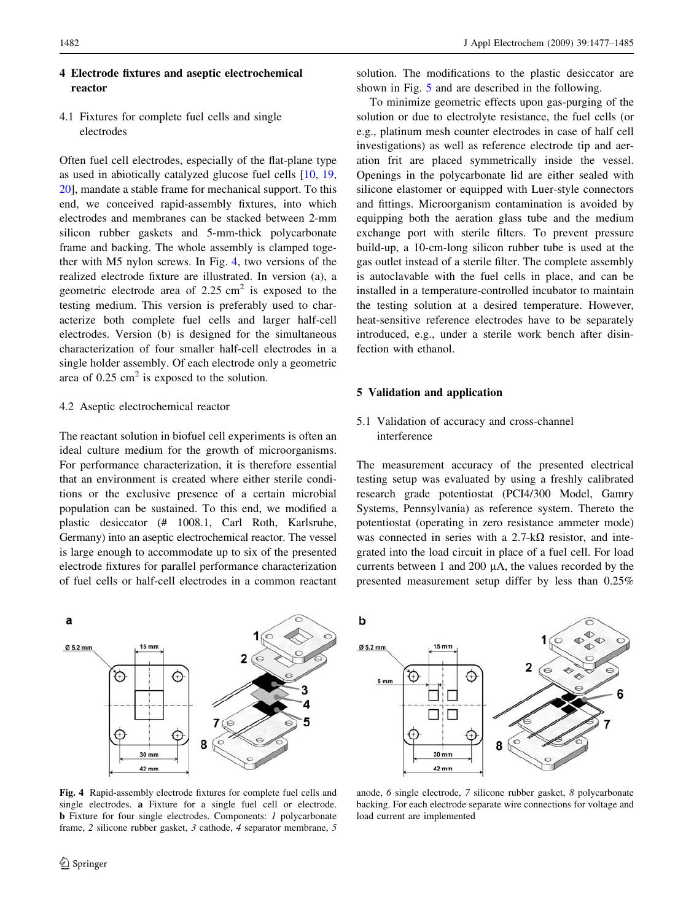# 4 Electrode fixtures and aseptic electrochemical reactor

# 4.1 Fixtures for complete fuel cells and single electrodes

Often fuel cell electrodes, especially of the flat-plane type as used in abiotically catalyzed glucose fuel cells [[10,](#page-8-0) [19,](#page-8-0) [20](#page-8-0)], mandate a stable frame for mechanical support. To this end, we conceived rapid-assembly fixtures, into which electrodes and membranes can be stacked between 2-mm silicon rubber gaskets and 5-mm-thick polycarbonate frame and backing. The whole assembly is clamped together with M5 nylon screws. In Fig. 4, two versions of the realized electrode fixture are illustrated. In version (a), a geometric electrode area of  $2.25 \text{ cm}^2$  is exposed to the testing medium. This version is preferably used to characterize both complete fuel cells and larger half-cell electrodes. Version (b) is designed for the simultaneous characterization of four smaller half-cell electrodes in a single holder assembly. Of each electrode only a geometric area of  $0.25 \text{ cm}^2$  is exposed to the solution.

## 4.2 Aseptic electrochemical reactor

The reactant solution in biofuel cell experiments is often an ideal culture medium for the growth of microorganisms. For performance characterization, it is therefore essential that an environment is created where either sterile conditions or the exclusive presence of a certain microbial population can be sustained. To this end, we modified a plastic desiccator (# 1008.1, Carl Roth, Karlsruhe, Germany) into an aseptic electrochemical reactor. The vessel is large enough to accommodate up to six of the presented electrode fixtures for parallel performance characterization of fuel cells or half-cell electrodes in a common reactant



Fig. 4 Rapid-assembly electrode fixtures for complete fuel cells and single electrodes. a Fixture for a single fuel cell or electrode. b Fixture for four single electrodes. Components: 1 polycarbonate frame, 2 silicone rubber gasket, 3 cathode, 4 separator membrane, 5

solution. The modifications to the plastic desiccator are shown in Fig. [5](#page-6-0) and are described in the following.

To minimize geometric effects upon gas-purging of the solution or due to electrolyte resistance, the fuel cells (or e.g., platinum mesh counter electrodes in case of half cell investigations) as well as reference electrode tip and aeration frit are placed symmetrically inside the vessel. Openings in the polycarbonate lid are either sealed with silicone elastomer or equipped with Luer-style connectors and fittings. Microorganism contamination is avoided by equipping both the aeration glass tube and the medium exchange port with sterile filters. To prevent pressure build-up, a 10-cm-long silicon rubber tube is used at the gas outlet instead of a sterile filter. The complete assembly is autoclavable with the fuel cells in place, and can be installed in a temperature-controlled incubator to maintain the testing solution at a desired temperature. However, heat-sensitive reference electrodes have to be separately introduced, e.g., under a sterile work bench after disinfection with ethanol.

# 5 Validation and application

# 5.1 Validation of accuracy and cross-channel interference

The measurement accuracy of the presented electrical testing setup was evaluated by using a freshly calibrated research grade potentiostat (PCI4/300 Model, Gamry Systems, Pennsylvania) as reference system. Thereto the potentiostat (operating in zero resistance ammeter mode) was connected in series with a  $2.7 - k\Omega$  resistor, and integrated into the load circuit in place of a fuel cell. For load currents between 1 and 200  $\mu$ A, the values recorded by the presented measurement setup differ by less than 0.25%



anode, 6 single electrode, 7 silicone rubber gasket, 8 polycarbonate backing. For each electrode separate wire connections for voltage and load current are implemented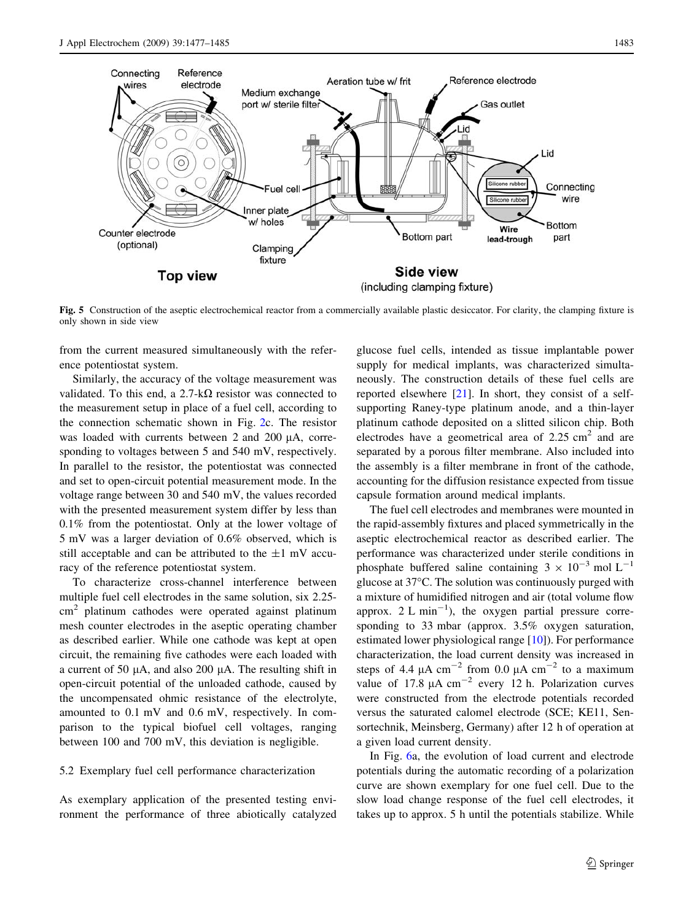<span id="page-6-0"></span>

Fig. 5 Construction of the aseptic electrochemical reactor from a commercially available plastic desiccator. For clarity, the clamping fixture is only shown in side view

from the current measured simultaneously with the reference potentiostat system.

Similarly, the accuracy of the voltage measurement was validated. To this end, a  $2.7 - k\Omega$  resistor was connected to the measurement setup in place of a fuel cell, according to the connection schematic shown in Fig. [2](#page-3-0)c. The resistor was loaded with currents between  $2$  and  $200 \mu A$ , corresponding to voltages between 5 and 540 mV, respectively. In parallel to the resistor, the potentiostat was connected and set to open-circuit potential measurement mode. In the voltage range between 30 and 540 mV, the values recorded with the presented measurement system differ by less than 0.1% from the potentiostat. Only at the lower voltage of 5 mV was a larger deviation of 0.6% observed, which is still acceptable and can be attributed to the  $\pm 1$  mV accuracy of the reference potentiostat system.

To characterize cross-channel interference between multiple fuel cell electrodes in the same solution, six 2.25-  $\text{cm}^2$  platinum cathodes were operated against platinum mesh counter electrodes in the aseptic operating chamber as described earlier. While one cathode was kept at open circuit, the remaining five cathodes were each loaded with a current of 50  $\mu$ A, and also 200  $\mu$ A. The resulting shift in open-circuit potential of the unloaded cathode, caused by the uncompensated ohmic resistance of the electrolyte, amounted to 0.1 mV and 0.6 mV, respectively. In comparison to the typical biofuel cell voltages, ranging between 100 and 700 mV, this deviation is negligible.

## 5.2 Exemplary fuel cell performance characterization

As exemplary application of the presented testing environment the performance of three abiotically catalyzed glucose fuel cells, intended as tissue implantable power supply for medical implants, was characterized simultaneously. The construction details of these fuel cells are reported elsewhere [[21\]](#page-8-0). In short, they consist of a selfsupporting Raney-type platinum anode, and a thin-layer platinum cathode deposited on a slitted silicon chip. Both electrodes have a geometrical area of  $2.25 \text{ cm}^2$  and are separated by a porous filter membrane. Also included into the assembly is a filter membrane in front of the cathode, accounting for the diffusion resistance expected from tissue capsule formation around medical implants.

The fuel cell electrodes and membranes were mounted in the rapid-assembly fixtures and placed symmetrically in the aseptic electrochemical reactor as described earlier. The performance was characterized under sterile conditions in phosphate buffered saline containing  $3 \times 10^{-3}$  mol L<sup>-1</sup> glucose at 37°C. The solution was continuously purged with a mixture of humidified nitrogen and air (total volume flow approx.  $2 L min^{-1}$ ), the oxygen partial pressure corresponding to 33 mbar (approx. 3.5% oxygen saturation, estimated lower physiological range [\[10](#page-8-0)]). For performance characterization, the load current density was increased in steps of 4.4  $\mu$ A cm<sup>-2</sup> from 0.0  $\mu$ A cm<sup>-2</sup> to a maximum value of 17.8  $\mu$ A cm<sup>-2</sup> every 12 h. Polarization curves were constructed from the electrode potentials recorded versus the saturated calomel electrode (SCE; KE11, Sensortechnik, Meinsberg, Germany) after 12 h of operation at a given load current density.

In Fig. [6a](#page-7-0), the evolution of load current and electrode potentials during the automatic recording of a polarization curve are shown exemplary for one fuel cell. Due to the slow load change response of the fuel cell electrodes, it takes up to approx. 5 h until the potentials stabilize. While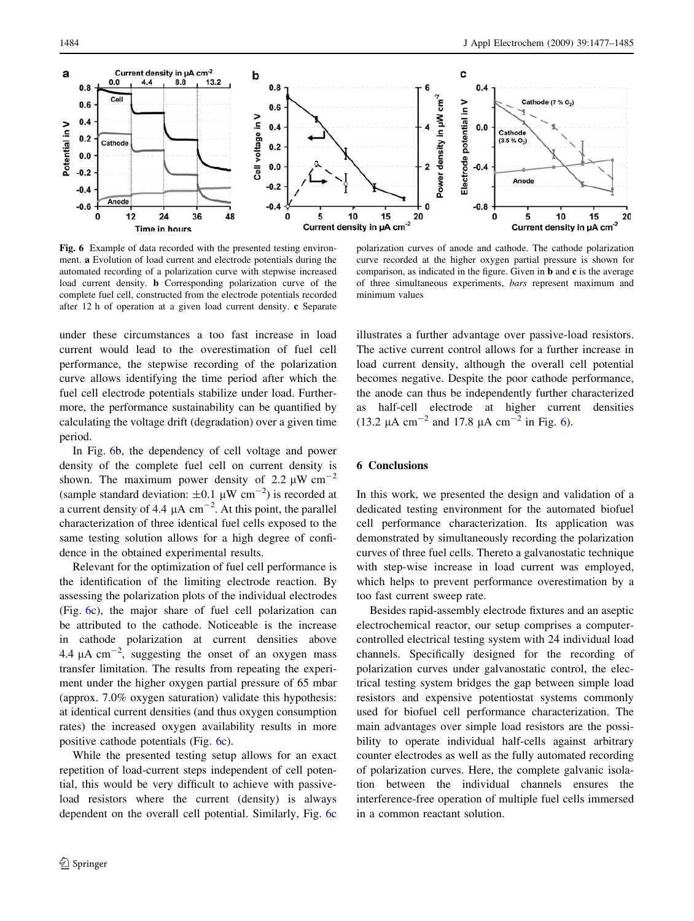<span id="page-7-0"></span>

Fig. 6 Example of data recorded with the presented testing environment. a Evolution of load current and electrode potentials during the automated recording of a polarization curve with stepwise increased load current density. b Corresponding polarization curve of the complete fuel cell, constructed from the electrode potentials recorded after 12 h of operation at a given load current density. c Separate

polarization curves of anode and cathode. The cathode polarization curve recorded at the higher oxygen partial pressure is shown for comparison, as indicated in the figure. Given in b and c is the average of three simultaneous experiments, bars represent maximum and minimum values

under these circumstances a too fast increase in load current would lead to the overestimation of fuel cell performance, the stepwise recording of the polarization curve allows identifying the time period after which the fuel cell electrode potentials stabilize under load. Furthermore, the performance sustainability can be quantified by calculating the voltage drift (degradation) over a given time period.

In Fig. 6b, the dependency of cell voltage and power density of the complete fuel cell on current density is shown. The maximum power density of 2.2  $\mu$ W cm<sup>-2</sup> (sample standard deviation:  $\pm 0.1 \mu W \text{ cm}^{-2}$ ) is recorded at a current density of 4.4  $\mu$ A cm<sup>-2</sup>. At this point, the parallel characterization of three identical fuel cells exposed to the same testing solution allows for a high degree of confidence in the obtained experimental results.

Relevant for the optimization of fuel cell performance is the identification of the limiting electrode reaction. By assessing the polarization plots of the individual electrodes (Fig. 6c), the major share of fuel cell polarization can be attributed to the cathode. Noticeable is the increase in cathode polarization at current densities above 4.4  $\mu$ A cm<sup>-2</sup>, suggesting the onset of an oxygen mass transfer limitation. The results from repeating the experiment under the higher oxygen partial pressure of 65 mbar (approx. 7.0% oxygen saturation) validate this hypothesis: at identical current densities (and thus oxygen consumption rates) the increased oxygen availability results in more positive cathode potentials (Fig. 6c).

While the presented testing setup allows for an exact repetition of load-current steps independent of cell potential, this would be very difficult to achieve with passiveload resistors where the current (density) is always dependent on the overall cell potential. Similarly, Fig. 6c illustrates a further advantage over passive-load resistors. The active current control allows for a further increase in load current density, although the overall cell potential becomes negative. Despite the poor cathode performance, the anode can thus be independently further characterized as half-cell electrode at higher current densities (13.2  $\mu$ A cm<sup>-2</sup> and 17.8  $\mu$ A cm<sup>-2</sup> in Fig. 6).

#### 6 Conclusions

In this work, we presented the design and validation of a dedicated testing environment for the automated biofuel cell performance characterization. Its application was demonstrated by simultaneously recording the polarization curves of three fuel cells. Thereto a galvanostatic technique with step-wise increase in load current was employed, which helps to prevent performance overestimation by a too fast current sweep rate.

Besides rapid-assembly electrode fixtures and an aseptic electrochemical reactor, our setup comprises a computercontrolled electrical testing system with 24 individual load channels. Specifically designed for the recording of polarization curves under galvanostatic control, the electrical testing system bridges the gap between simple load resistors and expensive potentiostat systems commonly used for biofuel cell performance characterization. The main advantages over simple load resistors are the possibility to operate individual half-cells against arbitrary counter electrodes as well as the fully automated recording of polarization curves. Here, the complete galvanic isolation between the individual channels ensures the interference-free operation of multiple fuel cells immersed in a common reactant solution.